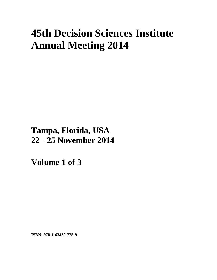# **45th Decision Sciences Institute Annual Meeting 2014**

**Tampa, Florida, USA 22 - 25 November 2014**

**Volume 1 of 3** 

**ISBN: 978-1-63439-775-9**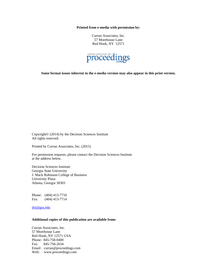**Printed from e-media with permission by:** 

Curran Associates, Inc. 57 Morehouse Lane Red Hook, NY 12571



**Some format issues inherent in the e-media version may also appear in this print version.** 

Copyright© (2014) by the Decision Sciences Institute All rights reserved.

Printed by Curran Associates, Inc. (2015)

For permission requests, please contact the Decision Sciences Institute at the address below.

Decision Sciences Institute Georgia State University J. Mack Robinson College of Business University Plaza Atlanta, Georgia 30303

Phone: (404) 413-7710 Fax: (404) 413-7714

dsi@gsu.edu

## **Additional copies of this publication are available from:**

Curran Associates, Inc. 57 Morehouse Lane Red Hook, NY 12571 USA Phone: 845-758-0400 Fax: 845-758-2634 Email: curran@proceedings.com Web: www.proceedings.com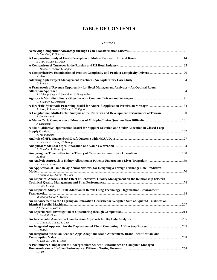# **TABLE OF CONTENTS**

#### **Volume 1**

| D. Marshall, T. Goldsby                                                                                            |  |
|--------------------------------------------------------------------------------------------------------------------|--|
| S. Shin, W. Lee, D. Odom                                                                                           |  |
|                                                                                                                    |  |
| G. Dusek, Y. Yurova, C. Ruppel                                                                                     |  |
| R. Skiver                                                                                                          |  |
| G. Raman                                                                                                           |  |
| A Framework of Revenue Opportunity for Hotel Management Analytics - An Optimal Room                                |  |
| S. Mukhopadhyay, S. Samaddar, S. Nargundkar                                                                        |  |
| G. Fliedner, G. DeHondt                                                                                            |  |
| A. Scott, T. James, L. Wallace, S. Collignon                                                                       |  |
| A Longitudinal, Multi-Factor Analysis of the Research and Development Performance of Taiwan  100<br>S. Dowlatshahi |  |
| J. Dickinson                                                                                                       |  |
| A Multi-Objective Optimization Model for Supplier Selection and Order Allocation in Closed-Loop                    |  |
| K. Moghaddam                                                                                                       |  |
| R. Behara, P. Huang, C. Huang                                                                                      |  |
|                                                                                                                    |  |
| B. Gopalan, R. Natarajan                                                                                           |  |
| X. Zhao                                                                                                            |  |
| R. Behara, V. Rao                                                                                                  |  |
| An Application of Time Delay Neural Network for Designing a Foreign Exchange Rate Predictive                       |  |
| D. Sharma, H. Sharma, H. Hota                                                                                      |  |
| An Empirical Analysis of the Effect of Behavioral Quality Management on the Relationship between                   |  |
| Y. Cho, J. Jung<br>An Empirical Study of RFID Adoption in Retail: Using Technology-Organization-Environment        |  |
| M. Bhattacharya, S. Wamba                                                                                          |  |
| An Enhancement to the Lagrangian Relaxation Heuristic for Weighted Sum of Squared Tardiness on                     |  |
| J. Schaller, J. Valente                                                                                            |  |
| E. Elahi, R. Blake                                                                                                 |  |
| C. Chern, H. Chung, S. Chen                                                                                        |  |
| H. Bidgoli                                                                                                         |  |
| An Integrated Model on Branded Apps Adoption: Brand Attachment, Brand Identification, and                          |  |
| K. Wen, K. Peng, Y. Chen                                                                                           |  |
| A Preliminary Comparison of Undergraduate Student Performance on Computer-Managed                                  |  |
| L. Fish                                                                                                            |  |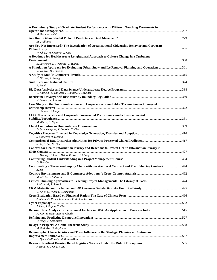| A Preliminary Study of Graduate Student Performance with Different Teaching Treatments in                                                                      |  |
|----------------------------------------------------------------------------------------------------------------------------------------------------------------|--|
| M. Braunscheidel                                                                                                                                               |  |
| M. Malliaris                                                                                                                                                   |  |
| Are You Not Impressed? The Investigation of Organizational Citizenship Behavior and Corporate                                                                  |  |
| W. Cha, J. Welbourne, J. Jung                                                                                                                                  |  |
| A Roadmap for Healthcare: A Longitudinal Approach to Culture Change in a Turbulent                                                                             |  |
| E. Lawrence, L. Tworoger, C. Ruppel<br>A Simulation Approach for Evaluating Urban Snow and Ice Removal Planning and Operations  301<br>V. Volovoi, D. Peterson |  |
| G. Nicolet, R. Zhang                                                                                                                                           |  |
| P. Patel                                                                                                                                                       |  |
| C. Aasheim, S. Williams, P. Rutner, A. Gardiner                                                                                                                |  |
| V. Durner, N. Johnson                                                                                                                                          |  |
| Case Study on the Tax Ramifications of S Corporation Shareholder Termination or Change of                                                                      |  |
| E. Conner, D. Laufer<br>CEO Characteristics and Corporate Turnaround Performance under Environmental                                                           |  |
| M. Abebe, P. Myint                                                                                                                                             |  |
| D. Schniederjans, K. Ozpolat, Y. Chen                                                                                                                          |  |
| S. Gutierrez-Wirsching                                                                                                                                         |  |
| S. Xu, S. Lai, M. Qiu                                                                                                                                          |  |
| Concern for Health Information Privacy and Reactions to Protect Health Information Privacy in                                                                  |  |
| H. Hwang, H. Lin, J. Hsiao, K. Kuo, H. Chang                                                                                                                   |  |
| G. Hackbarth                                                                                                                                                   |  |
| Coordinating a Three-level Supply Chain with Service Level Contract and Profit Sharing Contract  444<br>X. Xu                                                  |  |
| M. Merhi, P. Ahluwalia                                                                                                                                         |  |
| S. Misterek, J. Saraph                                                                                                                                         |  |
| G. Arici, O. Wyman, T. Niranjan                                                                                                                                |  |
| J. Ablanedo-Rosas, E. Benitez, F. Arslan, G. Rosas                                                                                                             |  |
| J. Hua, S. Bapna, Y. Chen                                                                                                                                      |  |
| Decision Tree Analysis for Selection of Factors in DEA: An Application to Banks in India515<br>R. Jain, R. Natarajan, A. Ghosh                                 |  |
| D. Nagy, J. Schuessler                                                                                                                                         |  |
| M. Padalkar, S. Gopinath                                                                                                                                       |  |
| Demographic Characteristics and Their Influence in the Strategic Planning of Continuous                                                                        |  |
| H. Quesada-Pineda, M. Brenes-Bastos                                                                                                                            |  |
| J. Hong, K. Jeong, Y. Xie                                                                                                                                      |  |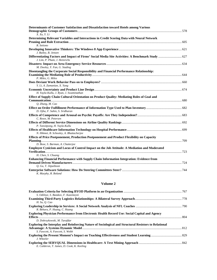| Determinants of Customer Satisfaction and Dissatisfaction toward Hotels among Various                                              |  |
|------------------------------------------------------------------------------------------------------------------------------------|--|
| X. Xu, Y. Li                                                                                                                       |  |
| Determining Relevant Variables and Interactions in Credit Scoring Data with Neural Network                                         |  |
| R. Setiono                                                                                                                         |  |
| J. Bailey, B. Jensen                                                                                                               |  |
| Differentiating Factors and Impact of Firms' Social Media Site Activities: A Benchmark Study  627<br>J. Lim, P. Pham, J. Heinrichs |  |
| M. Dooley, Y. Fan, G. Stading                                                                                                      |  |
| Disentangling the Corporate Social Responsibility and Financial Performance Relationship:<br>P. Miles. G. Miles                    |  |
| Y. Li, A. Zamanian, X. Yang                                                                                                        |  |
| H. Yayla-Kullu, J. Ryan, J. Swaminathan                                                                                            |  |
| Effect of Supply Chain Cultural Orientation on Product Quality: Mediating Roles of Goal and                                        |  |
| Q. Zhang, M. Cao                                                                                                                   |  |
| D. Ojha, F. Sahin, S. Sridharan                                                                                                    |  |
| C. Rowe, M. Petersen                                                                                                               |  |
| P. Tansitpong, H. Yayla-Kullu                                                                                                      |  |
| N. Hikmet, B. Schooley, A. Bhattacherjee                                                                                           |  |
| Effects of Price Postponement, Production Postponement and Product Flexibility on Capacity                                         |  |
| D. Bose, S. Barman, A. Chatterjee                                                                                                  |  |
| Employee Cynicism and Locus of Control Impact on the Job Attitude: A Mediation and Moderated                                       |  |
| H. Chen, S. Chuang                                                                                                                 |  |
| Enhancing Financial Performance with Supply Chain Information Integration: Evidence from                                           |  |
| O. Gu, T. Jitpaiboon                                                                                                               |  |
| K. Murphy, R. Boland                                                                                                               |  |

# **Volume 2**

| S. Odilnye, S. Butakov, F. Kazemeyni                                                                                                |  |
|-------------------------------------------------------------------------------------------------------------------------------------|--|
| H. Su, O. Cao                                                                                                                       |  |
| R. Behara, P. Huang, C. Huang                                                                                                       |  |
| <b>Exploring Physician Performance from Electronic Health Record Use: Social Capital and Agency</b><br>D. Dobrzykowski, M. Tarafdar |  |
| <b>Exploring the Interplay and Reinforcing Nature of Sociological and Structural Resistors to Relational</b>                        |  |
| S. Fawcett, A. Fawcett, S. Webb                                                                                                     |  |
| J. Wheeler                                                                                                                          |  |
| E. Calderon, T. James, D. Cook, K. Keeling                                                                                          |  |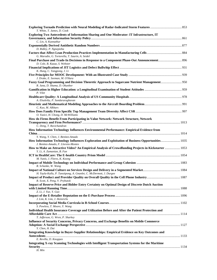| T. White, T. James, D. Cook                                                                                                                                               |  |
|---------------------------------------------------------------------------------------------------------------------------------------------------------------------------|--|
| Exploring Two Antecedents of Information Sharing and One Moderator: IT Infrastructure, IT                                                                                 |  |
|                                                                                                                                                                           |  |
| C. Lin, A. Kunnathur                                                                                                                                                      |  |
| D. Ridley, P. Ngnepieba                                                                                                                                                   |  |
| G. Marodin, G. Tortorella, T. Saurin, A. Seidel                                                                                                                           |  |
| D. Cole, B. Kazaz, S. Webster                                                                                                                                             |  |
| K. Hung, C. Tangpong, J. Li                                                                                                                                               |  |
| J. Drake, E. Seeman, M. O'Hara                                                                                                                                            |  |
| Fuzzy Goal Programming and Decision Theoretic Approach to Sugarcane Nutrient Management 950<br>R. Jana, D. Shama, D. Okunbor                                              |  |
| P. Vilet                                                                                                                                                                  |  |
| A. Elsaleiby, P. Sundararaghavan                                                                                                                                          |  |
| C. Kuo, M. Alkhars                                                                                                                                                        |  |
| O. Yazici, H. Chong, D. McWilliams                                                                                                                                        |  |
| How do Firms Benefit From Participating in Value Network: Network Structure, Network<br>C. Deng, T. Ravichandran                                                          |  |
| How Information Technology Influences Environmental Performance: Empirical Evidence from                                                                                  |  |
| Y. Wang, Y. Chen, J. Benitez-Amado<br>How Information Technology Influences Exploration and Exploitation of Business Opportunities 1035                                   |  |
| J. Benitez-Amado, F. Llorens-Montes<br>How to Make an Attractive Video? An Empirical Analysis of Crowdfunding Projects in Kickstarter  1053<br>Y. Li, A. Zamanian, B. Fan |  |
| M. Yunis, J. Flores, K. Koong                                                                                                                                             |  |
| R. Schanke, W. Wang                                                                                                                                                       |  |
| H. Yayla-Kullu, P. Tansitpong, A. Gnanlet, C. McDermott, J. Durgee                                                                                                        |  |
| R. Scott, X. Peng, V. Prybutok                                                                                                                                            |  |
| Impact of Reserve Price and Bidder Entry Certainty on Optimal Design of Discrete Dutch Auction                                                                            |  |
| Z. Li, J. Yue, Y. Guo<br>J. Lim, K. Lim, J. Heinrichs                                                                                                                     |  |
| S. Powless, T. Moore, Y. Wang                                                                                                                                             |  |
| Individual Health Insurance Coverage and Utilization Before and After the Patient Protection and<br>T. Jefferson, G. Wren, P. Sharkey                                     |  |
| <b>Influence of Security Concerns, Privacy Concerns, and Exchange Benefits on Mobile Commerce</b><br>Y. Chen, H. Dai                                                      |  |
| Integrating Knowledge in Buyer-Supplier Relationships: Empirical Evidence on Key Outcomes and                                                                             |  |
| E. Revilla, D. Knoppen<br>Integrating X-ray Scanning Technologies with Intelligent Transportation Systems for the Maritime                                                |  |
| H. Min                                                                                                                                                                    |  |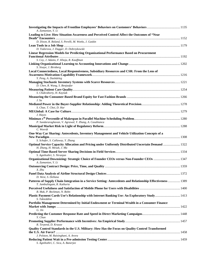| A. Zamanian, Y. Li                                                                                                           |  |
|------------------------------------------------------------------------------------------------------------------------------|--|
| Leading to Live: How Situation Awareness and Perceived Control Affect the Outcomes of "Near                                  |  |
| D. Dixon, R. Boland, S. Perelli, M. Weeks, J. Gaskin                                                                         |  |
| D. Todorova, J. Dugger, D. Dobrzykowski                                                                                      |  |
| <b>Linear Regression Models for Predicting Organizational Performance Based on Procurement</b>                               |  |
|                                                                                                                              |  |
| S. Coy, J. Adams, F. Khoja, R. Kauffman                                                                                      |  |
| S. Sisaye, J. Birnberg                                                                                                       |  |
| Local Connectedness, Local Responsiveness, Subsidiary Resources and CSR: From the Lens of                                    |  |
|                                                                                                                              |  |
| Y. Peng, A. Dashdeleg                                                                                                        |  |
| D. Chen, R. Wang, S. Benjaafar                                                                                               |  |
|                                                                                                                              |  |
| S. Chakraborty, H. Kaynak                                                                                                    |  |
| J. S u                                                                                                                       |  |
| S. Chae, T. Choi, D. Hur                                                                                                     |  |
|                                                                                                                              |  |
| J. Hayes                                                                                                                     |  |
| P. Sundararaghavan, V. Agrawal, Y. Zhang, A. Casabianca                                                                      |  |
|                                                                                                                              |  |
| C. Weerdt                                                                                                                    |  |
| One-Way Car Sharing: Antecedents, Inventory Management and Vehicle Utilization Concepts of a                                 |  |
| S. Schafer, S. Callaway, Y. Zhang                                                                                            |  |
| Optimal Service Capacity Allocation and Pricing under Uniformly Distributed Uncertain Demand  1322                           |  |
| H. Zhang, H. Mesak, J. Ma                                                                                                    |  |
| S. Agnihothri, S. Niranjan                                                                                                   |  |
| A. Zamanian, Y. Li                                                                                                           |  |
|                                                                                                                              |  |
| X. Zhu                                                                                                                       |  |
| D. West, S. Dellana                                                                                                          |  |
| Patterns of Supply Chain Integration in a Service Setting: Antecedents and Relationship Effectiveness  1389                  |  |
| T. Jambulingam, R. Kathuria                                                                                                  |  |
| B. Mak, P. Beckman, N. Bohn<br>Plastic Payment Cards Use's Relationship with Internet Banking Use: An Exploratory Study 1413 |  |
| S. Takieddine                                                                                                                |  |
| Portfolio Management Determined by Initial Endowment or Terminal Wealth in a Consumer Finance                                |  |
| G. Jin                                                                                                                       |  |
|                                                                                                                              |  |
| Y. Chun                                                                                                                      |  |
| R. Terpend, D. Krause                                                                                                        |  |
| Quality Control Standards in the U.S. Military: How Has the Focus on Quality Control Transformed                             |  |
| J. Polston, M. Raisinghani, A. Arora                                                                                         |  |
|                                                                                                                              |  |
| S. Agnihothri, C. Sica, A. Banerjee                                                                                          |  |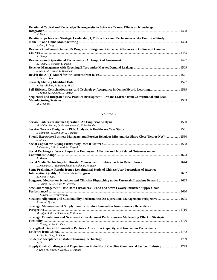| Relational Capital and Knowledge Heterogeneity in Software Teams: Effects on Knowledge                            |  |
|-------------------------------------------------------------------------------------------------------------------|--|
| N. Mehta                                                                                                          |  |
| Relationships between Strategic Leadership, QM Practices, and Performances: An Empirical Study<br>Y. Cho, J. Jung |  |
| Resource Challenged Online UG Programs: Design and Outcome Differences in Online and Campus                       |  |
| R. Duray                                                                                                          |  |
| B. Flynn, F. Picasso, E. Paiva                                                                                    |  |
| S. Raza, M. Turiac, L. Kerbache                                                                                   |  |
| P. Ren, L. Ren                                                                                                    |  |
| K. Muralidhar, R. Sarathy, H. Li                                                                                  |  |
| F. Tabak, N. Nguyen, R. Rampal                                                                                    |  |
| Sequential and Integrated New Product Development: Lessons Learned from Conventional and Lean<br>M. Meybodi       |  |

## **Volume 3**

| M. Mellat-Parast, D. Golmohammadi, K. McFadden                                                                                              |  |
|---------------------------------------------------------------------------------------------------------------------------------------------|--|
|                                                                                                                                             |  |
| S. Sampson, G. Schmidt, J. Gardner                                                                                                          |  |
| Should Expatriate Business Managers and Foreign Religious Missionaries Share Close Ties, or Not? 1580<br>S. Miller                          |  |
| J. Celestini, I. Gavronski, H. Kaynak                                                                                                       |  |
| Social Exchange at Work: Impact on Employees' Affective and Job-Related Outcomes under                                                      |  |
|                                                                                                                                             |  |
| A. Mehta                                                                                                                                    |  |
| L. Ngamassi, T. Ramakrishnan, S. Rahman, H. Rose                                                                                            |  |
| Some Preliminary Results from a Longitudinal Study of Chinese User Perceptions of Internet                                                  |  |
|                                                                                                                                             |  |
| B. Klein, Y. Guo                                                                                                                            |  |
| Staggered Medication Schedules and Clinician Dispatching under Uncertain Inpatient Demand 1663<br>F. Easton, G. LaPoint, R. Acevedo         |  |
| <b>Stockout Management: How Does Customers' Brand and Store Loyalty Influence Supply Chain</b>                                              |  |
|                                                                                                                                             |  |
| H. Kurata, B. Ovezmyradov                                                                                                                   |  |
| Strategic Alignment and Sustainability Performance: An Operations Management Perspective 1695<br>A. Swain, O. Cao                           |  |
| Strategic Management of Supply Base for Product Innovation from Resource Dependence                                                         |  |
|                                                                                                                                             |  |
| M. Jajja, S. Brah, S. Hassan, V. Kannan                                                                                                     |  |
| Strategic Orientations and New Service Development Performance - Moderating Effect of Strategic                                             |  |
|                                                                                                                                             |  |
| C. Cheng, Y. Xu, C. Sheu                                                                                                                    |  |
| Strength of Ties with Innovation Partners, Absorptive Capacity, and Innovation Performance:                                                 |  |
|                                                                                                                                             |  |
| X. Liu, W. Ding, X. Zhao                                                                                                                    |  |
| X. Li                                                                                                                                       |  |
| Supply Chain Challenges and Opportunities in the North Carolina Commercial Seafood Industry 1773<br>J. Kros, W. Rowe, J. Nash, S. Mirabilio |  |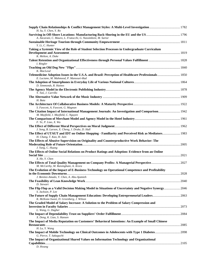| H. Su, Y. Chen, Y. Ro                                                                                                          |  |
|--------------------------------------------------------------------------------------------------------------------------------|--|
| A. Ancarani, C. Mauro, L. Fratocchi, G. Nassimbeni, M. Sartor                                                                  |  |
|                                                                                                                                |  |
| Y. Li, C. Hunter                                                                                                               |  |
| Taking a Systemic View of the Role of Student Selection Processes in Undergraduate Curriculum<br>K. Melton, A. Duke            |  |
| I. Ringler                                                                                                                     |  |
|                                                                                                                                |  |
| K. MacLeod                                                                                                                     |  |
| E. Luciano, M. Mahmood, P. Mansouri-Rad<br>D. Simmonds, R. Haines                                                              |  |
| Y. Tan, J. Carrillo                                                                                                            |  |
| H. Bata                                                                                                                        |  |
|                                                                                                                                |  |
| S. Fawcett, A. Fawcett, G. Magnan<br>M. Mayfield, J. Mayfield, C. Nguyen                                                       |  |
| F. Ye, P. Liao, X. Wu                                                                                                          |  |
| J. Song, B. Larson, X. Cheng, J. Drake, D. Hall                                                                                |  |
| The Effect of UTAUT and IDT on Online Shopping - Familiarity and Perceived Risk as Mediators 1983<br>H. Chang, T. Kao, H. Jain |  |
| The Effects of Abusive Supervision on Originality and Counterproductive Work Behavior: The<br>J. Yang, C. Huang                |  |
| The Effects of Online Social Relations on Product Ratings and Adoption: Evidence from an Online                                |  |
| X. He, Y. Chen                                                                                                                 |  |
| M. McCarthy, M. Raisinghani, A. Arora                                                                                          |  |
| The Evolution of the Impact of E-Business Technology on Operational Competence and Profitability                               |  |
| J. Benitez-Amado, Y. Chen, A. Abu-Ajamieh                                                                                      |  |
| D. Stewart                                                                                                                     |  |
| S. Jackson, P. Lee                                                                                                             |  |
| K. McKone-Sweet, D. Greenberg, J. Wilson                                                                                       |  |
| The Graded Model of Salary Increase: A Solution to the Problem of Salary Compression and                                       |  |
| L. Wang, G. Dagher                                                                                                             |  |
| X. Deng, K. Liao, S. Hansen                                                                                                    |  |
| The Impact of Media Reputation on Customers' Behavioral Intentions: An Example of Small Chinese                                |  |
| H. Lu, Y. Wang                                                                                                                 |  |
| G. Pierce, T. Sakaguchi                                                                                                        |  |
| The Impact of Organizational Shared Values on Information Technology and Organizational<br>D. Hwang                            |  |